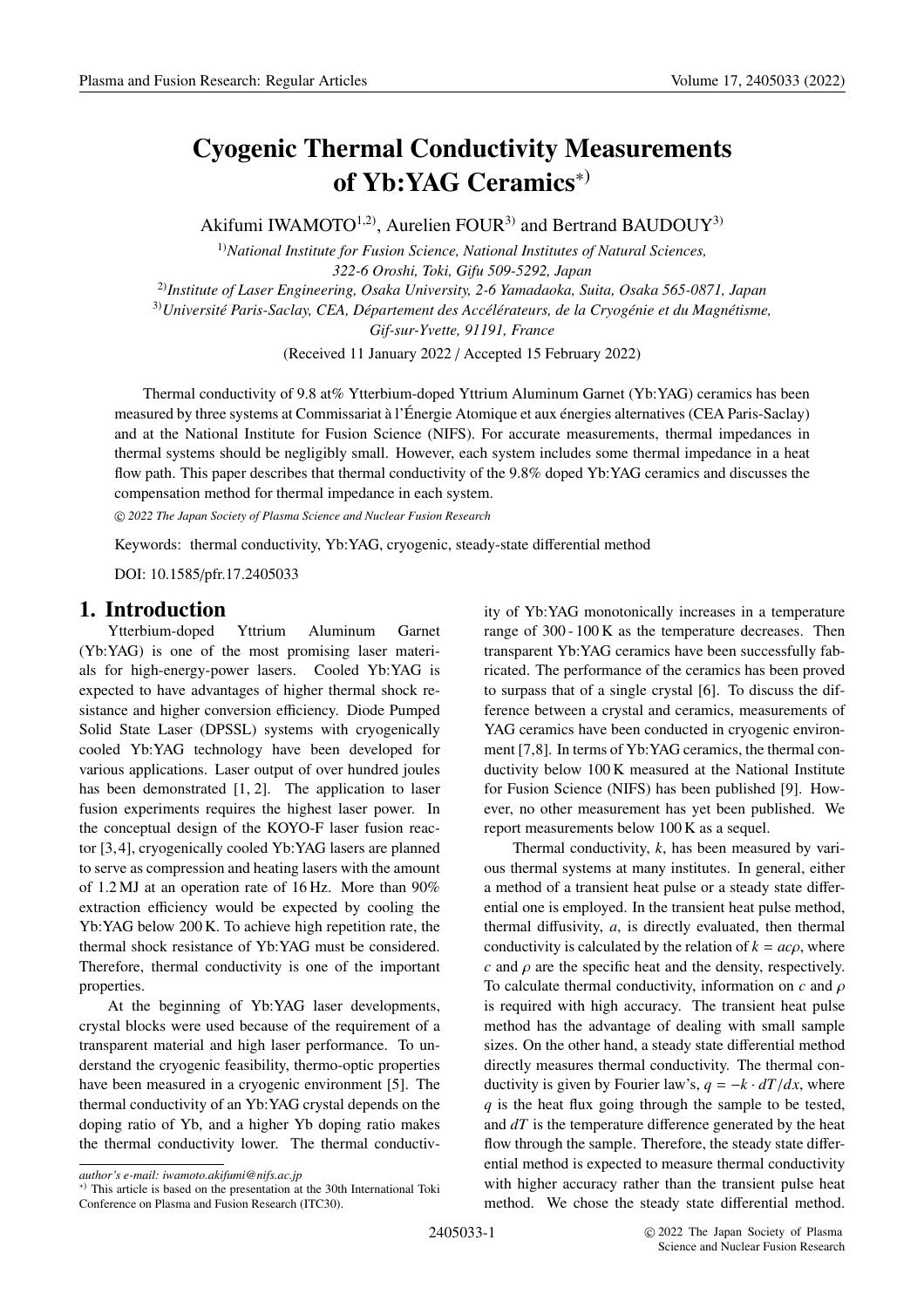# **Cyogenic Thermal Conductivity Measurements of Yb:YAG Ceramics**∗)

Akifumi IWAMOTO<sup>1,2)</sup>, Aurelien FOUR<sup>3)</sup> and Bertrand BAUDOUY<sup>3)</sup>

1)*National Institute for Fusion Science, National Institutes of Natural Sciences, 322-6 Oroshi, Toki, Gifu 509-5292, Japan* 2)*Institute of Laser Engineering, Osaka University, 2-6 Yamadaoka, Suita, Osaka 565-0871, Japan* 3)*Université Paris-Saclay, CEA, Département des Accélérateurs, de la Cryogénie et du Magnétisme, Gif-sur-Yvette, 91191, France*

(Received 11 January 2022 / Accepted 15 February 2022)

Thermal conductivity of 9.8 at% Ytterbium-doped Yttrium Aluminum Garnet (Yb:YAG) ceramics has been measured by three systems at Commissariat à l'Énergie Atomique et aux énergies alternatives (CEA Paris-Saclay) and at the National Institute for Fusion Science (NIFS). For accurate measurements, thermal impedances in thermal systems should be negligibly small. However, each system includes some thermal impedance in a heat flow path. This paper describes that thermal conductivity of the 9.8% doped Yb:YAG ceramics and discusses the compensation method for thermal impedance in each system.

c *2022 The Japan Society of Plasma Science and Nuclear Fusion Research*

Keywords: thermal conductivity, Yb:YAG, cryogenic, steady-state differential method

DOI: 10.1585/pfr.17.2405033

# **1. Introduction**

Ytterbium-doped Yttrium Aluminum Garnet (Yb:YAG) is one of the most promising laser materials for high-energy-power lasers. Cooled Yb:YAG is expected to have advantages of higher thermal shock resistance and higher conversion efficiency. Diode Pumped Solid State Laser (DPSSL) systems with cryogenically cooled Yb:YAG technology have been developed for various applications. Laser output of over hundred joules has been demonstrated [1, 2]. The application to laser fusion experiments requires the highest laser power. In the conceptual design of the KOYO-F laser fusion reactor [3,4], cryogenically cooled Yb:YAG lasers are planned to serve as compression and heating lasers with the amount of 1.2 MJ at an operation rate of 16 Hz. More than 90% extraction efficiency would be expected by cooling the Yb:YAG below 200 K. To achieve high repetition rate, the thermal shock resistance of Yb:YAG must be considered. Therefore, thermal conductivity is one of the important properties.

At the beginning of Yb:YAG laser developments, crystal blocks were used because of the requirement of a transparent material and high laser performance. To understand the cryogenic feasibility, thermo-optic properties have been measured in a cryogenic environment [5]. The thermal conductivity of an Yb:YAG crystal depends on the doping ratio of Yb, and a higher Yb doping ratio makes the thermal conductivity lower. The thermal conductivity of Yb:YAG monotonically increases in a temperature range of 300 - 100 K as the temperature decreases. Then transparent Yb:YAG ceramics have been successfully fabricated. The performance of the ceramics has been proved to surpass that of a single crystal [6]. To discuss the difference between a crystal and ceramics, measurements of YAG ceramics have been conducted in cryogenic environment [7,8]. In terms of Yb:YAG ceramics, the thermal conductivity below 100 K measured at the National Institute for Fusion Science (NIFS) has been published [9]. However, no other measurement has yet been published. We report measurements below 100 K as a sequel.

Thermal conductivity, *k*, has been measured by various thermal systems at many institutes. In general, either a method of a transient heat pulse or a steady state differential one is employed. In the transient heat pulse method, thermal diffusivity, *a*, is directly evaluated, then thermal conductivity is calculated by the relation of  $k = ac\rho$ , where *c* and  $\rho$  are the specific heat and the density, respectively. To calculate thermal conductivity, information on *c* and ρ is required with high accuracy. The transient heat pulse method has the advantage of dealing with small sample sizes. On the other hand, a steady state differential method directly measures thermal conductivity. The thermal conductivity is given by Fourier law's,  $q = -k \cdot dT/dx$ , where *q* is the heat flux going through the sample to be tested, and *dT* is the temperature difference generated by the heat flow through the sample. Therefore, the steady state differential method is expected to measure thermal conductivity with higher accuracy rather than the transient pulse heat method. We chose the steady state differential method.

*author's e-mail: iwamoto.akifumi@nifs.ac.jp*

<sup>∗</sup>) This article is based on the presentation at the 30th International Toki Conference on Plasma and Fusion Research (ITC30).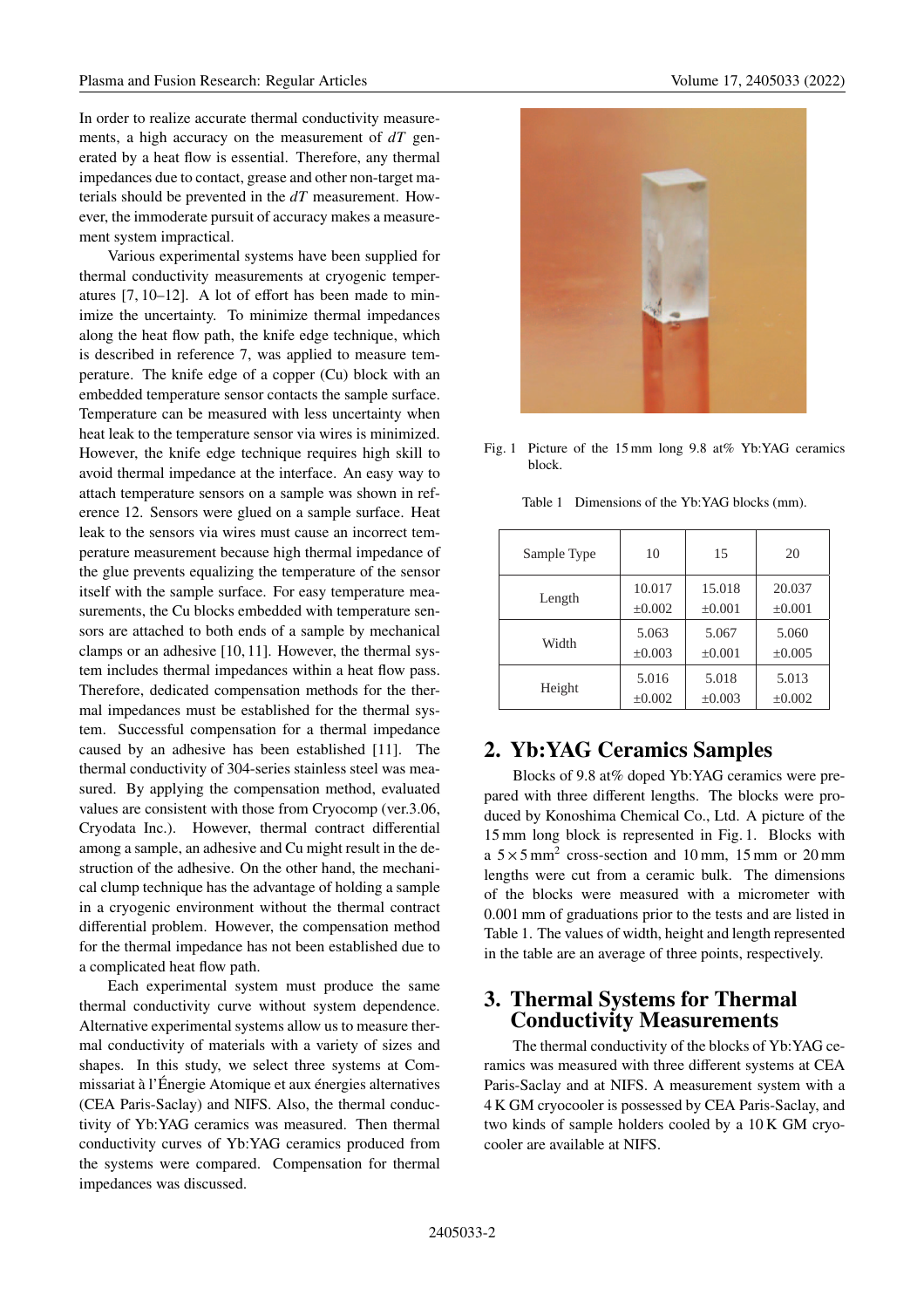In order to realize accurate thermal conductivity measurements, a high accuracy on the measurement of *dT* generated by a heat flow is essential. Therefore, any thermal impedances due to contact, grease and other non-target materials should be prevented in the *dT* measurement. However, the immoderate pursuit of accuracy makes a measurement system impractical.

Various experimental systems have been supplied for thermal conductivity measurements at cryogenic temperatures [7, 10–12]. A lot of effort has been made to minimize the uncertainty. To minimize thermal impedances along the heat flow path, the knife edge technique, which is described in reference 7, was applied to measure temperature. The knife edge of a copper (Cu) block with an embedded temperature sensor contacts the sample surface. Temperature can be measured with less uncertainty when heat leak to the temperature sensor via wires is minimized. However, the knife edge technique requires high skill to avoid thermal impedance at the interface. An easy way to attach temperature sensors on a sample was shown in reference 12. Sensors were glued on a sample surface. Heat leak to the sensors via wires must cause an incorrect temperature measurement because high thermal impedance of the glue prevents equalizing the temperature of the sensor itself with the sample surface. For easy temperature measurements, the Cu blocks embedded with temperature sensors are attached to both ends of a sample by mechanical clamps or an adhesive [10, 11]. However, the thermal system includes thermal impedances within a heat flow pass. Therefore, dedicated compensation methods for the thermal impedances must be established for the thermal system. Successful compensation for a thermal impedance caused by an adhesive has been established [11]. The thermal conductivity of 304-series stainless steel was measured. By applying the compensation method, evaluated values are consistent with those from Cryocomp (ver.3.06, Cryodata Inc.). However, thermal contract differential among a sample, an adhesive and Cu might result in the destruction of the adhesive. On the other hand, the mechanical clump technique has the advantage of holding a sample in a cryogenic environment without the thermal contract differential problem. However, the compensation method for the thermal impedance has not been established due to a complicated heat flow path.

Each experimental system must produce the same thermal conductivity curve without system dependence. Alternative experimental systems allow us to measure thermal conductivity of materials with a variety of sizes and shapes. In this study, we select three systems at Commissariat à l'Énergie Atomique et aux énergies alternatives (CEA Paris-Saclay) and NIFS. Also, the thermal conductivity of Yb:YAG ceramics was measured. Then thermal conductivity curves of Yb:YAG ceramics produced from the systems were compared. Compensation for thermal impedances was discussed.



Fig. 1 Picture of the 15 mm long 9.8 at% Yb:YAG ceramics block.

Table 1 Dimensions of the Yb:YAG blocks (mm).

| Sample Type | 10          | 15          | 20          |
|-------------|-------------|-------------|-------------|
| Length      | 10.017      | 15.018      | 20.037      |
|             | ±0.002      | $\pm 0.001$ | $\pm 0.001$ |
| Width       | 5.063       | 5.067       | 5.060       |
|             | $\pm 0.003$ | $\pm 0.001$ | $\pm 0.005$ |
| Height      | 5.016       | 5.018       | 5.013       |
|             | ±0.002      | $\pm 0.003$ | $\pm 0.002$ |

# **2. Yb:YAG Ceramics Samples**

Blocks of 9.8 at% doped Yb:YAG ceramics were prepared with three different lengths. The blocks were produced by Konoshima Chemical Co., Ltd. A picture of the 15 mm long block is represented in Fig. 1. Blocks with a  $5 \times 5$  mm<sup>2</sup> cross-section and 10 mm, 15 mm or 20 mm lengths were cut from a ceramic bulk. The dimensions of the blocks were measured with a micrometer with 0.001 mm of graduations prior to the tests and are listed in Table 1. The values of width, height and length represented in the table are an average of three points, respectively.

# **3. Thermal Systems for Thermal Conductivity Measurements**

The thermal conductivity of the blocks of Yb:YAG ceramics was measured with three different systems at CEA Paris-Saclay and at NIFS. A measurement system with a 4 K GM cryocooler is possessed by CEA Paris-Saclay, and two kinds of sample holders cooled by a 10 K GM cryocooler are available at NIFS.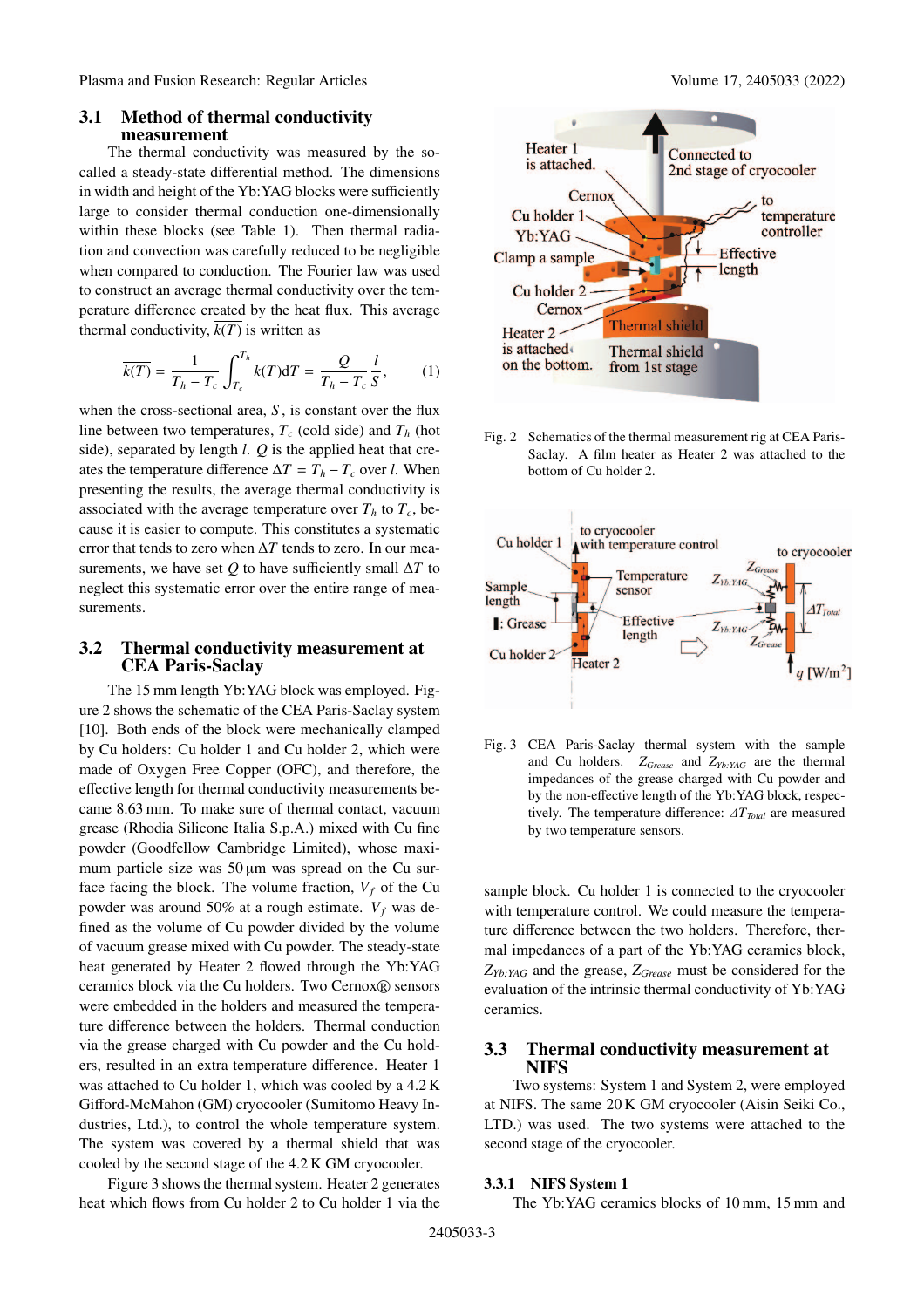#### **3.1 Method of thermal conductivity measurement**

The thermal conductivity was measured by the socalled a steady-state differential method. The dimensions in width and height of the Yb:YAG blocks were sufficiently large to consider thermal conduction one-dimensionally within these blocks (see Table 1). Then thermal radiation and convection was carefully reduced to be negligible when compared to conduction. The Fourier law was used to construct an average thermal conductivity over the temperature difference created by the heat flux. This average thermal conductivity,  $\overline{k(T)}$  is written as

$$
\overline{k(T)} = \frac{1}{T_h - T_c} \int_{T_c}^{T_h} k(T) dT = \frac{Q}{T_h - T_c} \frac{l}{S}, \qquad (1)
$$

when the cross-sectional area, *S* , is constant over the flux line between two temperatures,  $T_c$  (cold side) and  $T_h$  (hot side), separated by length *l*. *Q* is the applied heat that creates the temperature difference  $\Delta T = T_h - T_c$  over *l*. When presenting the results, the average thermal conductivity is associated with the average temperature over  $T_h$  to  $T_c$ , because it is easier to compute. This constitutes a systematic error that tends to zero when Δ*T* tends to zero. In our measurements, we have set  $Q$  to have sufficiently small  $\Delta T$  to neglect this systematic error over the entire range of measurements.

#### **3.2 Thermal conductivity measurement at CEA Paris-Saclay**

The 15 mm length Yb:YAG block was employed. Figure 2 shows the schematic of the CEA Paris-Saclay system [10]. Both ends of the block were mechanically clamped by Cu holders: Cu holder 1 and Cu holder 2, which were made of Oxygen Free Copper (OFC), and therefore, the effective length for thermal conductivity measurements became 8.63 mm. To make sure of thermal contact, vacuum grease (Rhodia Silicone Italia S.p.A.) mixed with Cu fine powder (Goodfellow Cambridge Limited), whose maximum particle size was  $50 \mu m$  was spread on the Cu surface facing the block. The volume fraction,  $V_f$  of the Cu powder was around 50% at a rough estimate.  $V_f$  was defined as the volume of Cu powder divided by the volume of vacuum grease mixed with Cu powder. The steady-state heat generated by Heater 2 flowed through the Yb:YAG ceramics block via the Cu holders. Two Cernox® sensors were embedded in the holders and measured the temperature difference between the holders. Thermal conduction via the grease charged with Cu powder and the Cu holders, resulted in an extra temperature difference. Heater 1 was attached to Cu holder 1, which was cooled by a 4.2 K Gifford-McMahon (GM) cryocooler (Sumitomo Heavy Industries, Ltd.), to control the whole temperature system. The system was covered by a thermal shield that was cooled by the second stage of the 4.2 K GM cryocooler.

Figure 3 shows the thermal system. Heater 2 generates heat which flows from Cu holder 2 to Cu holder 1 via the



Fig. 2 Schematics of the thermal measurement rig at CEA Paris-Saclay. A film heater as Heater 2 was attached to the bottom of Cu holder 2.



Fig. 3 CEA Paris-Saclay thermal system with the sample and Cu holders. *ZGrease* and *ZYb:YAG* are the thermal impedances of the grease charged with Cu powder and by the non-effective length of the Yb:YAG block, respectively. The temperature difference:  $\Delta T_{Total}$  are measured by two temperature sensors.

sample block. Cu holder 1 is connected to the cryocooler with temperature control. We could measure the temperature difference between the two holders. Therefore, thermal impedances of a part of the Yb:YAG ceramics block, *ZYb:YAG* and the grease, *ZGrease* must be considered for the evaluation of the intrinsic thermal conductivity of Yb:YAG ceramics.

#### **3.3 Thermal conductivity measurement at NIFS**

Two systems: System 1 and System 2, were employed at NIFS. The same 20 K GM cryocooler (Aisin Seiki Co., LTD.) was used. The two systems were attached to the second stage of the cryocooler.

#### **3.3.1 NIFS System 1**

The Yb:YAG ceramics blocks of 10 mm, 15 mm and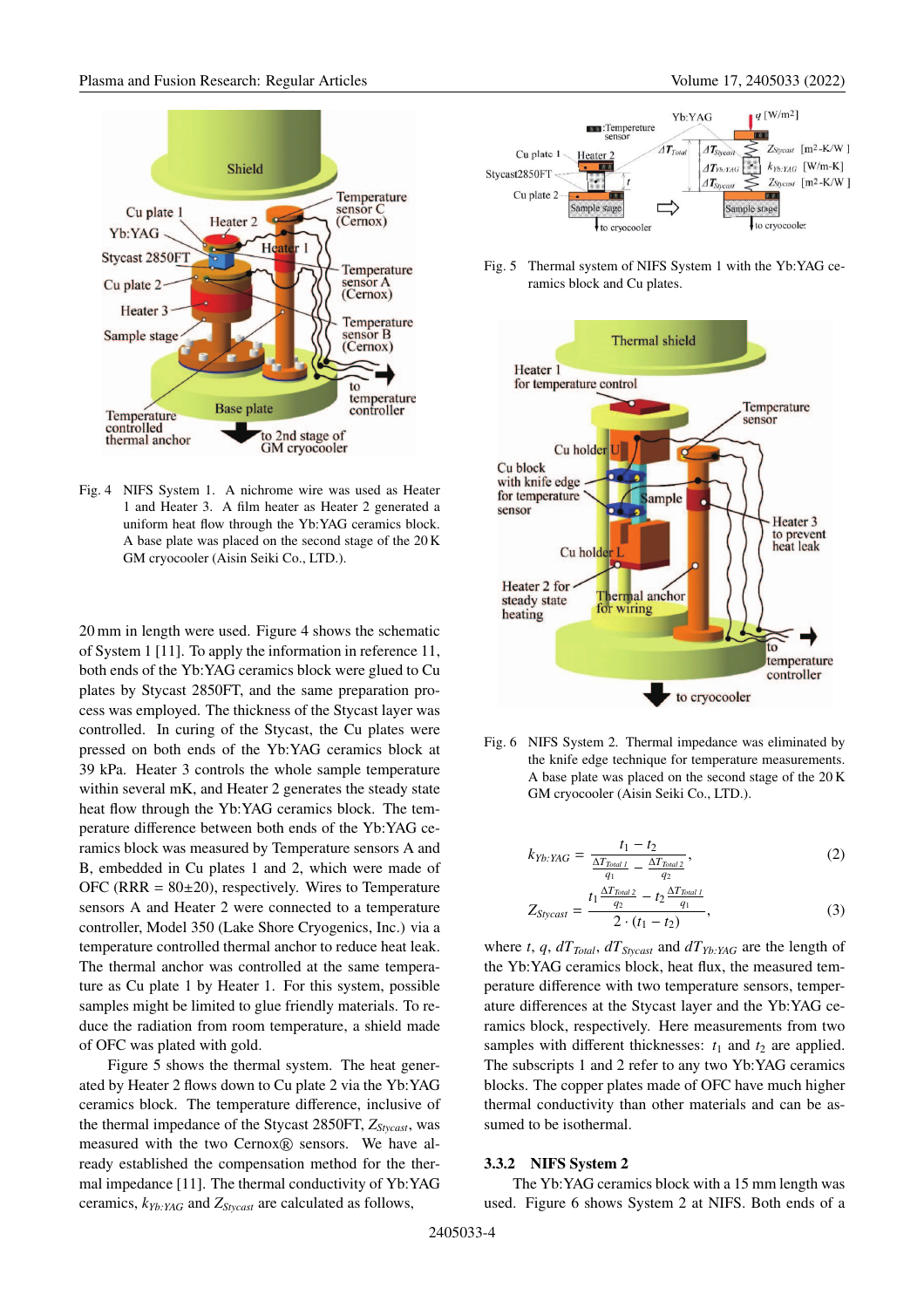

Fig. 4 NIFS System 1. A nichrome wire was used as Heater 1 and Heater 3. A film heater as Heater 2 generated a uniform heat flow through the Yb:YAG ceramics block. A base plate was placed on the second stage of the 20 K GM cryocooler (Aisin Seiki Co., LTD.).

20 mm in length were used. Figure 4 shows the schematic of System 1 [11]. To apply the information in reference 11, both ends of the Yb:YAG ceramics block were glued to Cu plates by Stycast 2850FT, and the same preparation process was employed. The thickness of the Stycast layer was controlled. In curing of the Stycast, the Cu plates were pressed on both ends of the Yb:YAG ceramics block at 39 kPa. Heater 3 controls the whole sample temperature within several mK, and Heater 2 generates the steady state heat flow through the Yb:YAG ceramics block. The temperature difference between both ends of the Yb:YAG ceramics block was measured by Temperature sensors A and B, embedded in Cu plates 1 and 2, which were made of OFC (RRR =  $80\pm20$ ), respectively. Wires to Temperature sensors A and Heater 2 were connected to a temperature controller, Model 350 (Lake Shore Cryogenics, Inc.) via a temperature controlled thermal anchor to reduce heat leak. The thermal anchor was controlled at the same temperature as Cu plate 1 by Heater 1. For this system, possible samples might be limited to glue friendly materials. To reduce the radiation from room temperature, a shield made of OFC was plated with gold.

Figure 5 shows the thermal system. The heat generated by Heater 2 flows down to Cu plate 2 via the Yb:YAG ceramics block. The temperature difference, inclusive of the thermal impedance of the Stycast 2850FT, *ZStycast*, was measured with the two Cernox® sensors. We have already established the compensation method for the thermal impedance [11]. The thermal conductivity of Yb:YAG ceramics, *kYb:YAG* and *ZStycast* are calculated as follows,



Fig. 5 Thermal system of NIFS System 1 with the Yb:YAG ceramics block and Cu plates.



Fig. 6 NIFS System 2. Thermal impedance was eliminated by the knife edge technique for temperature measurements. A base plate was placed on the second stage of the 20 K GM cryocooler (Aisin Seiki Co., LTD.).

$$
k_{Yb:YAG} = \frac{t_1 - t_2}{\frac{\Delta T_{Total\,I}}{q_1} - \frac{\Delta T_{Total\,2}}{q_2}},\tag{2}
$$

$$
Z_{Stycast} = \frac{t_1 \frac{\Delta T_{Total2}}{q_2} - t_2 \frac{\Delta T_{Total1}}{q_1}}{2 \cdot (t_1 - t_2)},
$$
(3)

where *t*, *q*,  $dT_{Total}$ ,  $dT_{Stvcast}$  and  $dT_{Yb:YAG}$  are the length of the Yb:YAG ceramics block, heat flux, the measured temperature difference with two temperature sensors, temperature differences at the Stycast layer and the Yb:YAG ceramics block, respectively. Here measurements from two samples with different thicknesses:  $t_1$  and  $t_2$  are applied. The subscripts 1 and 2 refer to any two Yb:YAG ceramics blocks. The copper plates made of OFC have much higher thermal conductivity than other materials and can be assumed to be isothermal.

#### **3.3.2 NIFS System 2**

The Yb:YAG ceramics block with a 15 mm length was used. Figure 6 shows System 2 at NIFS. Both ends of a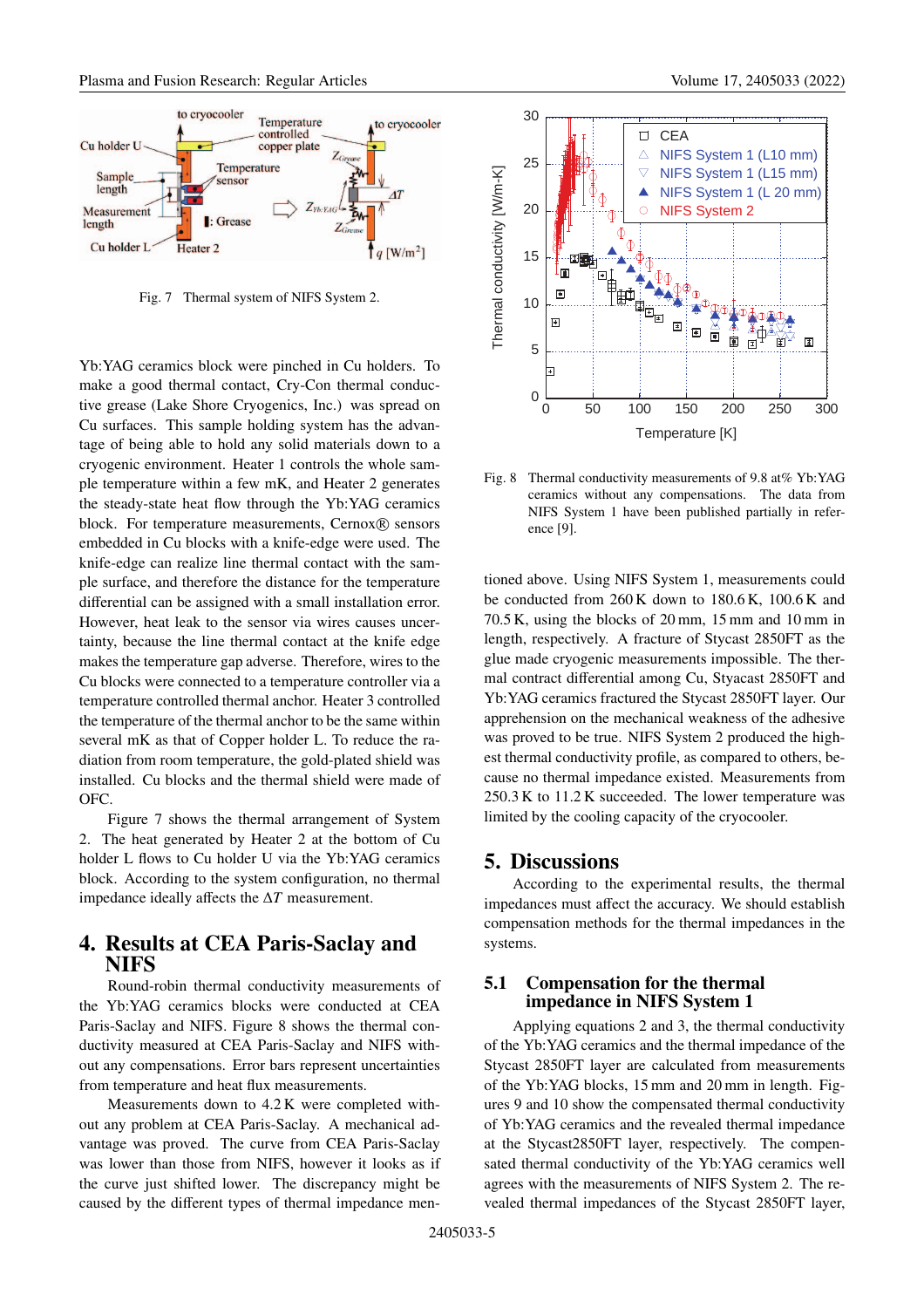

Fig. 7 Thermal system of NIFS System 2.

Yb:YAG ceramics block were pinched in Cu holders. To make a good thermal contact, Cry-Con thermal conductive grease (Lake Shore Cryogenics, Inc.) was spread on Cu surfaces. This sample holding system has the advantage of being able to hold any solid materials down to a cryogenic environment. Heater 1 controls the whole sample temperature within a few mK, and Heater 2 generates the steady-state heat flow through the Yb:YAG ceramics block. For temperature measurements, Cernox® sensors embedded in Cu blocks with a knife-edge were used. The knife-edge can realize line thermal contact with the sample surface, and therefore the distance for the temperature differential can be assigned with a small installation error. However, heat leak to the sensor via wires causes uncertainty, because the line thermal contact at the knife edge makes the temperature gap adverse. Therefore, wires to the Cu blocks were connected to a temperature controller via a temperature controlled thermal anchor. Heater 3 controlled the temperature of the thermal anchor to be the same within several mK as that of Copper holder L. To reduce the radiation from room temperature, the gold-plated shield was installed. Cu blocks and the thermal shield were made of OFC.

Figure 7 shows the thermal arrangement of System 2. The heat generated by Heater 2 at the bottom of Cu holder L flows to Cu holder U via the Yb:YAG ceramics block. According to the system configuration, no thermal impedance ideally affects the Δ*T* measurement.

# **4. Results at CEA Paris-Saclay and NIFS**

Round-robin thermal conductivity measurements of the Yb:YAG ceramics blocks were conducted at CEA Paris-Saclay and NIFS. Figure 8 shows the thermal conductivity measured at CEA Paris-Saclay and NIFS without any compensations. Error bars represent uncertainties from temperature and heat flux measurements.

Measurements down to 4.2 K were completed without any problem at CEA Paris-Saclay. A mechanical advantage was proved. The curve from CEA Paris-Saclay was lower than those from NIFS, however it looks as if the curve just shifted lower. The discrepancy might be caused by the different types of thermal impedance men-



Fig. 8 Thermal conductivity measurements of 9.8 at% Yb:YAG ceramics without any compensations. The data from NIFS System 1 have been published partially in reference [9].

tioned above. Using NIFS System 1, measurements could be conducted from 260 K down to 180.6 K, 100.6 K and 70.5 K, using the blocks of 20 mm, 15 mm and 10 mm in length, respectively. A fracture of Stycast 2850FT as the glue made cryogenic measurements impossible. The thermal contract differential among Cu, Styacast 2850FT and Yb:YAG ceramics fractured the Stycast 2850FT layer. Our apprehension on the mechanical weakness of the adhesive was proved to be true. NIFS System 2 produced the highest thermal conductivity profile, as compared to others, because no thermal impedance existed. Measurements from 250.3 K to 11.2 K succeeded. The lower temperature was limited by the cooling capacity of the cryocooler.

### **5. Discussions**

According to the experimental results, the thermal impedances must affect the accuracy. We should establish compensation methods for the thermal impedances in the systems.

#### **5.1 Compensation for the thermal impedance in NIFS System 1**

Applying equations 2 and 3, the thermal conductivity of the Yb:YAG ceramics and the thermal impedance of the Stycast 2850FT layer are calculated from measurements of the Yb:YAG blocks, 15 mm and 20 mm in length. Figures 9 and 10 show the compensated thermal conductivity of Yb:YAG ceramics and the revealed thermal impedance at the Stycast2850FT layer, respectively. The compensated thermal conductivity of the Yb:YAG ceramics well agrees with the measurements of NIFS System 2. The revealed thermal impedances of the Stycast 2850FT layer,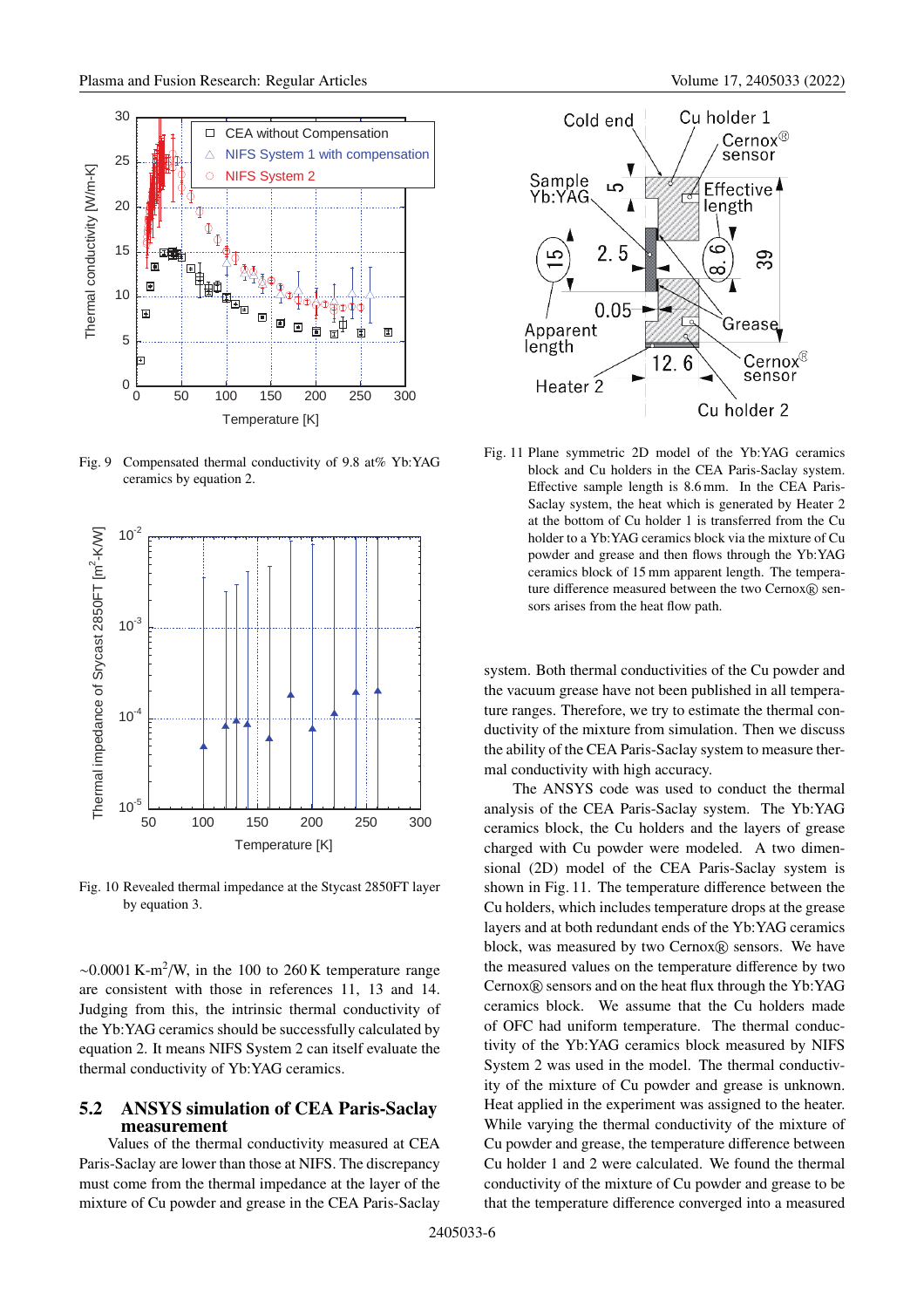

Fig. 9 Compensated thermal conductivity of 9.8 at% Yb:YAG ceramics by equation 2.



Fig. 10 Revealed thermal impedance at the Stycast 2850FT layer by equation 3.

 $\sim 0.0001$  K-m<sup>2</sup>/W, in the 100 to 260 K temperature range are consistent with those in references 11, 13 and 14. Judging from this, the intrinsic thermal conductivity of the Yb:YAG ceramics should be successfully calculated by equation 2. It means NIFS System 2 can itself evaluate the thermal conductivity of Yb:YAG ceramics.

#### **5.2 ANSYS simulation of CEA Paris-Saclay measurement**

Values of the thermal conductivity measured at CEA Paris-Saclay are lower than those at NIFS. The discrepancy must come from the thermal impedance at the layer of the mixture of Cu powder and grease in the CEA Paris-Saclay



Fig. 11 Plane symmetric 2D model of the Yb:YAG ceramics block and Cu holders in the CEA Paris-Saclay system. Effective sample length is 8.6 mm. In the CEA Paris-Saclay system, the heat which is generated by Heater 2 at the bottom of Cu holder 1 is transferred from the Cu holder to a Yb:YAG ceramics block via the mixture of Cu powder and grease and then flows through the Yb:YAG ceramics block of 15 mm apparent length. The temperature difference measured between the two Cernox $R$  sensors arises from the heat flow path.

system. Both thermal conductivities of the Cu powder and the vacuum grease have not been published in all temperature ranges. Therefore, we try to estimate the thermal conductivity of the mixture from simulation. Then we discuss the ability of the CEA Paris-Saclay system to measure thermal conductivity with high accuracy.

The ANSYS code was used to conduct the thermal analysis of the CEA Paris-Saclay system. The Yb:YAG ceramics block, the Cu holders and the layers of grease charged with Cu powder were modeled. A two dimensional (2D) model of the CEA Paris-Saclay system is shown in Fig. 11. The temperature difference between the Cu holders, which includes temperature drops at the grease layers and at both redundant ends of the Yb:YAG ceramics block, was measured by two Cernox® sensors. We have the measured values on the temperature difference by two  $Cernox(R)$  sensors and on the heat flux through the Yb:YAG ceramics block. We assume that the Cu holders made of OFC had uniform temperature. The thermal conductivity of the Yb:YAG ceramics block measured by NIFS System 2 was used in the model. The thermal conductivity of the mixture of Cu powder and grease is unknown. Heat applied in the experiment was assigned to the heater. While varying the thermal conductivity of the mixture of Cu powder and grease, the temperature difference between Cu holder 1 and 2 were calculated. We found the thermal conductivity of the mixture of Cu powder and grease to be that the temperature difference converged into a measured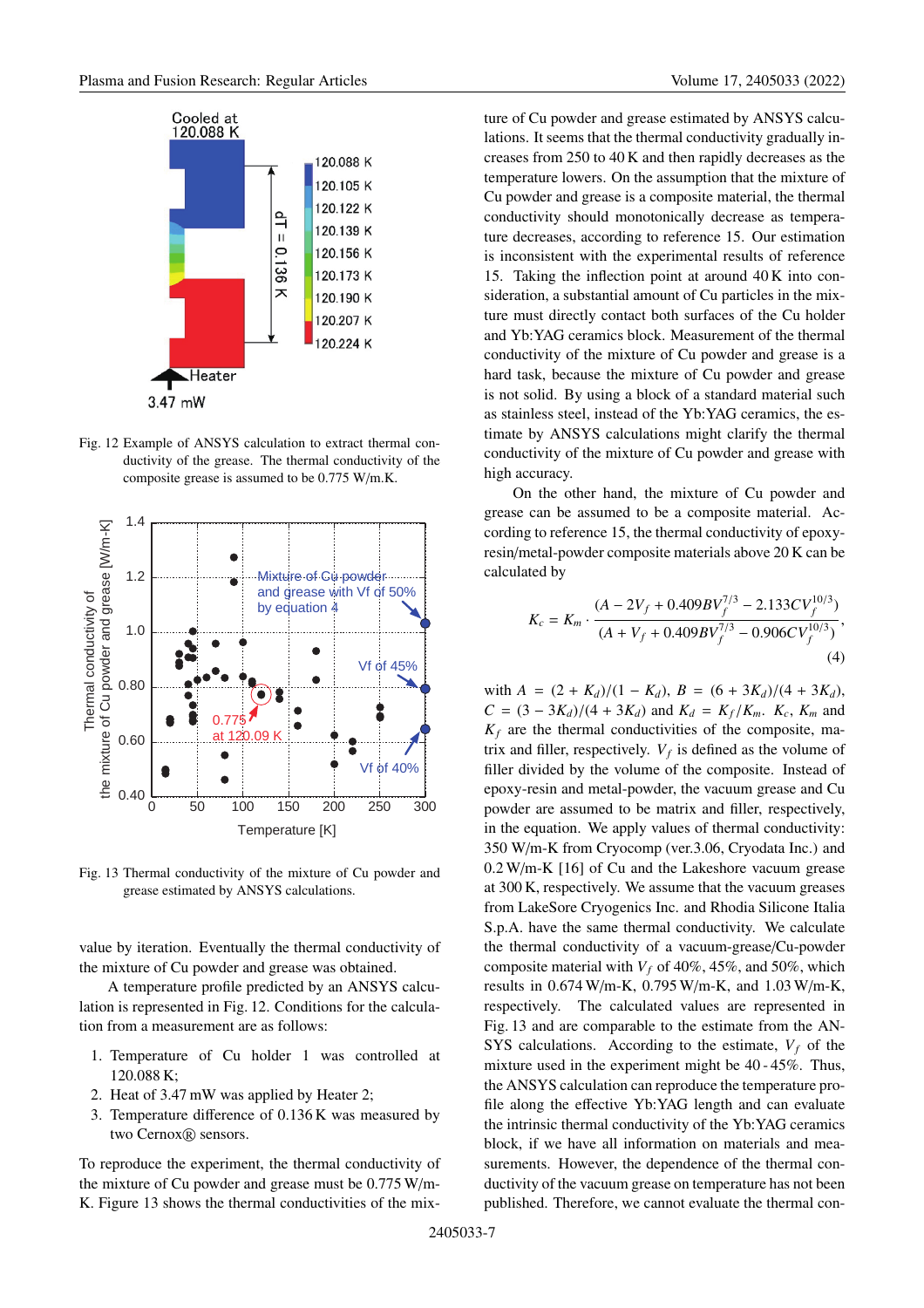

Fig. 12 Example of ANSYS calculation to extract thermal conductivity of the grease. The thermal conductivity of the composite grease is assumed to be 0.775 W/m.K.



Fig. 13 Thermal conductivity of the mixture of Cu powder and grease estimated by ANSYS calculations.

value by iteration. Eventually the thermal conductivity of the mixture of Cu powder and grease was obtained.

A temperature profile predicted by an ANSYS calculation is represented in Fig. 12. Conditions for the calculation from a measurement are as follows:

- 1. Temperature of Cu holder 1 was controlled at 120.088 K;
- 2. Heat of 3.47 mW was applied by Heater 2;
- 3. Temperature difference of 0.136 K was measured by two Cernox® sensors.

To reproduce the experiment, the thermal conductivity of the mixture of Cu powder and grease must be 0.775 W/m-K. Figure 13 shows the thermal conductivities of the mixture of Cu powder and grease estimated by ANSYS calculations. It seems that the thermal conductivity gradually increases from 250 to 40 K and then rapidly decreases as the temperature lowers. On the assumption that the mixture of Cu powder and grease is a composite material, the thermal conductivity should monotonically decrease as temperature decreases, according to reference 15. Our estimation is inconsistent with the experimental results of reference 15. Taking the inflection point at around 40 K into consideration, a substantial amount of Cu particles in the mixture must directly contact both surfaces of the Cu holder and Yb:YAG ceramics block. Measurement of the thermal conductivity of the mixture of Cu powder and grease is a hard task, because the mixture of Cu powder and grease is not solid. By using a block of a standard material such as stainless steel, instead of the Yb:YAG ceramics, the estimate by ANSYS calculations might clarify the thermal conductivity of the mixture of Cu powder and grease with high accuracy.

On the other hand, the mixture of Cu powder and grease can be assumed to be a composite material. According to reference 15, the thermal conductivity of epoxyresin/metal-powder composite materials above 20 K can be calculated by

$$
K_c = K_m \cdot \frac{(A - 2V_f + 0.409BV_f^{7/3} - 2.133CV_f^{10/3})}{(A + V_f + 0.409BV_f^{7/3} - 0.906CV_f^{10/3})},\tag{4}
$$

with  $A = (2 + K_d)/(1 - K_d)$ ,  $B = (6 + 3K_d)/(4 + 3K_d)$ ,  $C = (3 - 3K_d)/(4 + 3K_d)$  and  $K_d = K_f/K_m$ .  $K_c$ ,  $K_m$  and  $K_f$  are the thermal conductivities of the composite, matrix and filler, respectively.  $V_f$  is defined as the volume of filler divided by the volume of the composite. Instead of epoxy-resin and metal-powder, the vacuum grease and Cu powder are assumed to be matrix and filler, respectively, in the equation. We apply values of thermal conductivity: 350 W/m-K from Cryocomp (ver.3.06, Cryodata Inc.) and 0.2 W/m-K [16] of Cu and the Lakeshore vacuum grease at 300 K, respectively. We assume that the vacuum greases from LakeSore Cryogenics Inc. and Rhodia Silicone Italia S.p.A. have the same thermal conductivity. We calculate the thermal conductivity of a vacuum-grease/Cu-powder composite material with  $V_f$  of 40%, 45%, and 50%, which results in 0.674 W/m-K, 0.795 W/m-K, and 1.03 W/m-K, respectively. The calculated values are represented in Fig. 13 and are comparable to the estimate from the AN-SYS calculations. According to the estimate,  $V_f$  of the mixture used in the experiment might be 40 - 45%. Thus, the ANSYS calculation can reproduce the temperature profile along the effective Yb:YAG length and can evaluate the intrinsic thermal conductivity of the Yb:YAG ceramics block, if we have all information on materials and measurements. However, the dependence of the thermal conductivity of the vacuum grease on temperature has not been published. Therefore, we cannot evaluate the thermal con